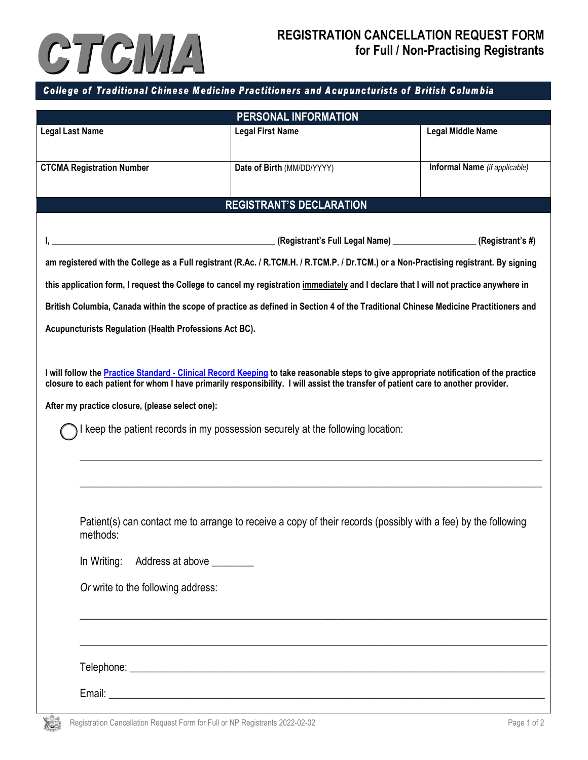

## College of Traditional Chinese Medicine Practitioners and Acupuncturists of British Columbia

| PERSONAL INFORMATION                                                                                                                                                                                                                                                         |                                                                       |                               |  |  |
|------------------------------------------------------------------------------------------------------------------------------------------------------------------------------------------------------------------------------------------------------------------------------|-----------------------------------------------------------------------|-------------------------------|--|--|
| <b>Legal Last Name</b>                                                                                                                                                                                                                                                       | <b>Legal First Name</b>                                               | <b>Legal Middle Name</b>      |  |  |
| <b>CTCMA Registration Number</b>                                                                                                                                                                                                                                             | Date of Birth (MM/DD/YYYY)                                            | Informal Name (if applicable) |  |  |
| <b>REGISTRANT'S DECLARATION</b>                                                                                                                                                                                                                                              |                                                                       |                               |  |  |
|                                                                                                                                                                                                                                                                              |                                                                       |                               |  |  |
| <u> 1988 - Jan Barnett, fransk kongresum (d. 1988)</u>                                                                                                                                                                                                                       | (Registrant's Full Legal Name) ______________________(Registrant's #) |                               |  |  |
| am registered with the College as a Full registrant (R.Ac. / R.TCM.H. / R.TCM.P. / Dr.TCM.) or a Non-Practising registrant. By signing                                                                                                                                       |                                                                       |                               |  |  |
| this application form, I request the College to cancel my registration immediately and I declare that I will not practice anywhere in                                                                                                                                        |                                                                       |                               |  |  |
| British Columbia, Canada within the scope of practice as defined in Section 4 of the Traditional Chinese Medicine Practitioners and                                                                                                                                          |                                                                       |                               |  |  |
| Acupuncturists Regulation (Health Professions Act BC).                                                                                                                                                                                                                       |                                                                       |                               |  |  |
|                                                                                                                                                                                                                                                                              |                                                                       |                               |  |  |
| I will follow the Practice Standard - Clinical Record Keeping to take reasonable steps to give appropriate notification of the practice<br>closure to each patient for whom I have primarily responsibility. I will assist the transfer of patient care to another provider. |                                                                       |                               |  |  |
| After my practice closure, (please select one):                                                                                                                                                                                                                              |                                                                       |                               |  |  |
| I keep the patient records in my possession securely at the following location:                                                                                                                                                                                              |                                                                       |                               |  |  |
|                                                                                                                                                                                                                                                                              |                                                                       |                               |  |  |

Patient(s) can contact me to arrange to receive a copy of their records (possibly with a fee) by the following methods:

\_\_\_\_\_\_\_\_\_\_\_\_\_\_\_\_\_\_\_\_\_\_\_\_\_\_\_\_\_\_\_\_\_\_\_\_\_\_\_\_\_\_\_\_\_\_\_\_\_\_\_\_\_\_\_\_\_\_\_\_\_\_\_\_\_\_\_\_\_\_\_\_\_\_\_\_\_\_\_\_\_\_\_\_\_\_\_\_

\_\_\_\_\_\_\_\_\_\_\_\_\_\_\_\_\_\_\_\_\_\_\_\_\_\_\_\_\_\_\_\_\_\_\_\_\_\_\_\_\_\_\_\_\_\_\_\_\_\_\_\_\_\_\_\_\_\_\_\_\_\_\_\_\_\_\_\_\_\_\_\_\_\_\_\_\_\_\_\_\_\_\_\_\_\_\_\_\_

\_\_\_\_\_\_\_\_\_\_\_\_\_\_\_\_\_\_\_\_\_\_\_\_\_\_\_\_\_\_\_\_\_\_\_\_\_\_\_\_\_\_\_\_\_\_\_\_\_\_\_\_\_\_\_\_\_\_\_\_\_\_\_\_\_\_\_\_\_\_\_\_\_\_\_\_\_\_\_\_\_\_\_\_\_\_\_\_\_

| In Writing: | Address at above |  |
|-------------|------------------|--|
|             |                  |  |

*Or* write to the following address:

Telephone: \_\_\_\_\_\_\_\_\_\_\_\_\_\_\_\_\_\_\_\_\_\_\_\_\_\_\_\_\_\_\_\_\_\_\_\_\_\_\_\_\_\_\_\_\_\_\_\_\_\_\_\_\_\_\_\_\_\_\_\_\_\_\_\_\_\_\_\_\_\_\_\_\_\_\_\_\_\_\_

Email:  $\blacksquare$